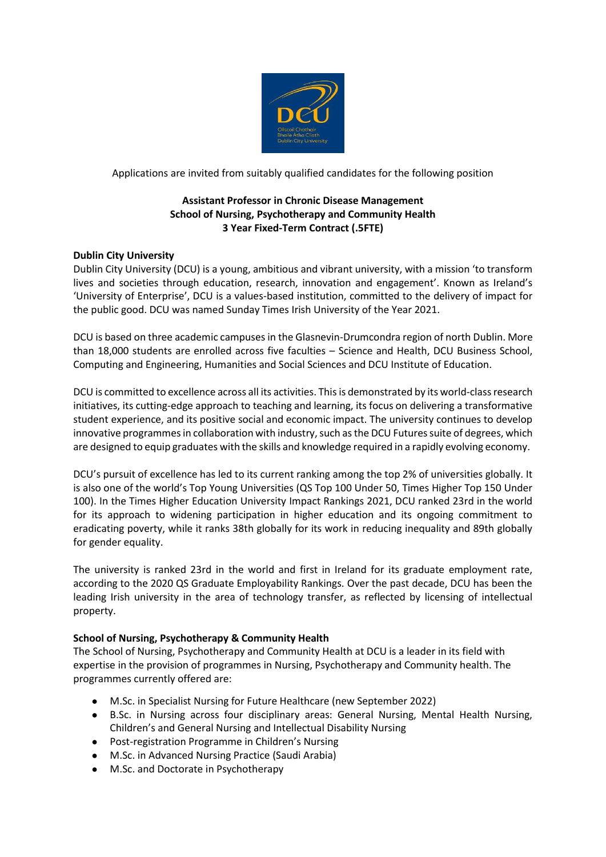

Applications are invited from suitably qualified candidates for the following position

# **Assistant Professor in Chronic Disease Management School of Nursing, Psychotherapy and Community Health 3 Year Fixed-Term Contract (.5FTE)**

# **Dublin City University**

Dublin City University (DCU) is a young, ambitious and vibrant university, with a mission 'to transform lives and societies through education, research, innovation and engagement'. Known as Ireland's 'University of Enterprise', DCU is a values-based institution, committed to the delivery of impact for the public good. DCU was named Sunday Times Irish University of the Year 2021.

DCU is based on three academic campuses in the Glasnevin-Drumcondra region of north Dublin. More than 18,000 students are enrolled across five faculties – Science and Health, DCU Business School, Computing and Engineering, Humanities and Social Sciences and DCU Institute of Education.

DCU is committed to excellence across all its activities. This is demonstrated by its world-class research initiatives, its cutting-edge approach to teaching and learning, its focus on delivering a transformative student experience, and its positive social and economic impact. The university continues to develop innovative programmes in collaboration with industry, such as the DCU Futures suite of degrees, which are designed to equip graduates with the skills and knowledge required in a rapidly evolving economy.

DCU's pursuit of excellence has led to its current ranking among the top 2% of universities globally. It is also one of the world's Top Young Universities (QS Top 100 Under 50, Times Higher Top 150 Under 100). In the Times Higher Education University Impact Rankings 2021, DCU ranked 23rd in the world for its approach to widening participation in higher education and its ongoing commitment to eradicating poverty, while it ranks 38th globally for its work in reducing inequality and 89th globally for gender equality.

The university is ranked 23rd in the world and first in Ireland for its graduate employment rate, according to the 2020 QS Graduate Employability Rankings. Over the past decade, DCU has been the leading Irish university in the area of technology transfer, as reflected by licensing of intellectual property.

# **School of Nursing, Psychotherapy & Community Health**

The School of Nursing, Psychotherapy and Community Health at DCU is a leader in its field with expertise in the provision of programmes in Nursing, Psychotherapy and Community health. The programmes currently offered are:

- M.Sc. in Specialist Nursing for Future Healthcare (new September 2022)
- B.Sc. in Nursing across four disciplinary areas: General Nursing, Mental Health Nursing, Children's and General Nursing and Intellectual Disability Nursing
- Post-registration Programme in Children's Nursing
- M.Sc. in Advanced Nursing Practice (Saudi Arabia)
- M.Sc. and Doctorate in Psychotherapy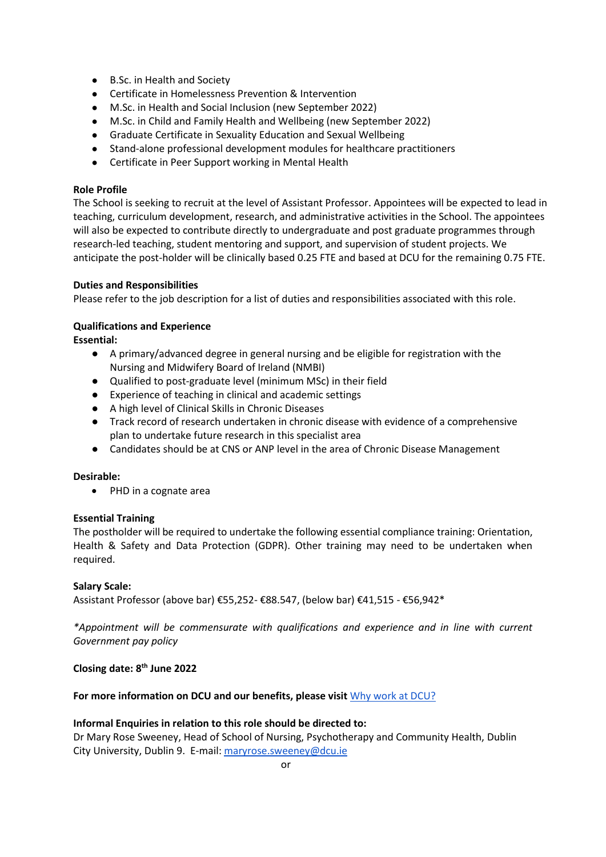- B.Sc. in Health and Society
- Certificate in Homelessness Prevention & Intervention
- M.Sc. in Health and Social Inclusion (new September 2022)
- M.Sc. in Child and Family Health and Wellbeing (new September 2022)
- Graduate Certificate in Sexuality Education and Sexual Wellbeing
- Stand-alone professional development modules for healthcare practitioners
- Certificate in Peer Support working in Mental Health

#### **Role Profile**

The School is seeking to recruit at the level of Assistant Professor. Appointees will be expected to lead in teaching, curriculum development, research, and administrative activities in the School. The appointees will also be expected to contribute directly to undergraduate and post graduate programmes through research-led teaching, student mentoring and support, and supervision of student projects. We anticipate the post-holder will be clinically based 0.25 FTE and based at DCU for the remaining 0.75 FTE.

#### **Duties and Responsibilities**

Please refer to the job description for a list of duties and responsibilities associated with this role.

### **Qualifications and Experience**

**Essential:**

- A primary/advanced degree in general nursing and be eligible for registration with the Nursing and Midwifery Board of Ireland (NMBI)
- Qualified to post-graduate level (minimum MSc) in their field
- Experience of teaching in clinical and academic settings
- A high level of Clinical Skills in Chronic Diseases
- Track record of research undertaken in chronic disease with evidence of a comprehensive plan to undertake future research in this specialist area
- Candidates should be at CNS or ANP level in the area of Chronic Disease Management

#### **Desirable:**

• PHD in a cognate area

### **Essential Training**

The postholder will be required to undertake the following essential compliance training: Orientation, Health & Safety and Data Protection (GDPR). Other training may need to be undertaken when required.

### **Salary Scale:**

Assistant Professor (above bar) €55,252- €88.547, (below bar) €41,515 - €56,942\*

*\*Appointment will be commensurate with qualifications and experience and in line with current Government pay policy*

### **Closing date: 8 th June 2022**

### **For more information on DCU and our benefits, please visit** [Why work at DCU?](https://www.dcu.ie/hr/why-work-dcu)

### **Informal Enquiries in relation to this role should be directed to:**

Dr Mary Rose Sweeney, Head of School of Nursing, Psychotherapy and Community Health, Dublin City University, Dublin 9. E-mail: [maryrose.sweeney@dcu.ie](mailto:maryrose.sweeney@dcu.ie)